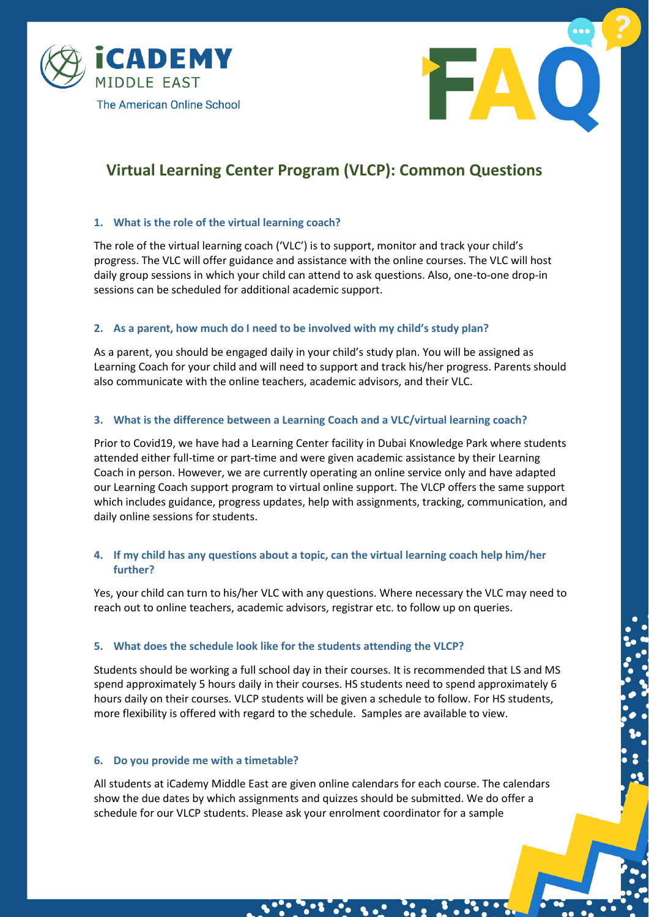



# **Virtual Learning Center Program (VLCP): Common Questions**

# **1. What is the role of the virtual learning coach?**

The role of the virtual learning coach ('VLC') is to support, monitor and track your child's progress. The VLC will offer guidance and assistance with the online courses. The VLC will host daily group sessions in which your child can attend to ask questions. Also, one-to-one drop-in sessions can be scheduled for additional academic support.

## **2. As a parent, how much do I need to be involved with my child's study plan?**

As a parent, you should be engaged daily in your child's study plan. You will be assigned as Learning Coach for your child and will need to support and track his/her progress. Parents should also communicate with the online teachers, academic advisors, and their VLC.

## **3. What is the difference between a Learning Coach and a VLC/virtual learning coach?**

Prior to Covid19, we have had a Learning Center facility in Dubai Knowledge Park where students attended either full-time or part-time and were given academic assistance by their Learning Coach in person. However, we are currently operating an online service only and have adapted our Learning Coach support program to virtual online support. The VLCP offers the same support which includes guidance, progress updates, help with assignments, tracking, communication, and daily online sessions for students.

# **4. If my child has any questions about a topic, can the virtual learning coach help him/her further?**

Yes, your child can turn to his/her VLC with any questions. Where necessary the VLC may need to reach out to online teachers, academic advisors, registrar etc. to follow up on queries.

#### **5. What does the schedule look like for the students attending the VLCP?**

Students should be working a full school day in their courses. It is recommended that LS and MS spend approximately 5 hours daily in their courses. HS students need to spend approximately 6 hours daily on their courses. VLCP students will be given a schedule to follow. For HS students, more flexibility is offered with regard to the schedule. Samples are available to view.

#### **6. Do you provide me with a timetable?**

All students at iCademy Middle East are given online calendars for each course. The calendars show the due dates by which assignments and quizzes should be submitted. We do offer a schedule for our VLCP students. Please ask your enrolment coordinator for a sample